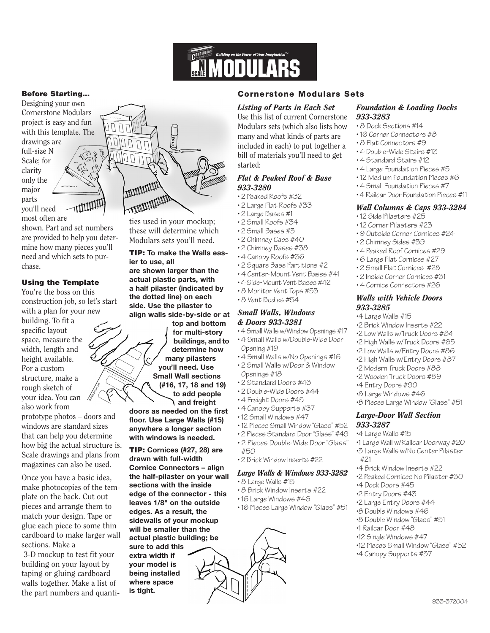

## **Before Starting…**

Designing your own Cornerstone Modulars project is easy and fun with this template. The drawings are full-size N Scale; for clarity only the major parts TITULINI you'll need most often are

shown. Part and set numbers are provided to help you determine how many pieces you'll need and which sets to purchase.

#### **Using the Template**

You're the boss on this construction job, so let's start with a plan for your new building. To fit a specific layout space, measure the width, length and height available. For a custom structure, make a rough sketch of your idea. You can

also work from prototype photos – doors and windows are standard sizes that can help you determine how big the actual structure is. Scale drawings and plans from magazines can also be used.

Once you have a basic idea, make photocopies of the template on the back. Cut out pieces and arrange them to match your design. Tape or glue each piece to some thin cardboard to make larger wall sections. Make a

3-D mockup to test fit your building on your layout by taping or gluing cardboard walls together. Make a list of the part numbers and quanti-



ties used in your mockup; these will determine which Modulars sets you'll need.

**TIP: To make the Walls easier to use, all are shown larger than the actual plastic parts, with a half pilaster (indicated by the dotted line) on each side. Use the pilaster to align walls side-by-side or at**

**top and bottom for multi-story buildings, and to determine how many pilasters you'll need. Use Small Wall sections (#16, 17, 18 and 19)** 

**to add people and freight**

**doors as needed on the first floor. Use Large Walls (#15) anywhere a longer section with windows is needed.**

**TIP: Cornices (#27, 28) are drawn with full-width Cornice Connectors – align the half-pilaster on your wall sections with the inside edge of the connector - this leaves 1/8" on the outside edges. As a result, the sidewalls of your mockup will be smaller than the actual plastic building; be sure to add this extra width if your model is being installed where space is tight.** 

# **Cornerstone Modulars Sets**

# *Listing of Parts in Each Set*

Use this list of current Cornerstone Modulars sets (which also lists how many and what kinds of parts are included in each) to put together a bill of materials you'll need to get started:

## *Flat & Peaked Roof & Base 933-3280*

- 2 Peaked Roofs #32
- 2 Large Flat Roofs #33
- 2 Large Bases #1
- 2 Small Roofs #34
- 2 Small Bases #3
- 2 Chimney Caps #40
- 2 Chimney Bases #38
- 4 Canopy Roofs #36
- 2 Square Base Partitions #2
- 4 Center-Mount Vent Bases #41
- 4 Side-Mount Vent Bases #42
- 8 Monitor Vent Tops #53
- 8 Vent Bodies #54

# *Small Walls, Windows & Doors 933-3281*

- 4 Small Walls w/Window Openings #17
- 4 Small Walls w/Double-Wide Door Opening #19
- 4 Small Walls w/No Openings #16
- 2 Small Walls w/Door & Window
- Openings #18
- 2 Standard Doors #43
- 2 Double-Wide Doors #44
- 4 Freight Doors #45
- 4 Canopy Supports #37
- 12 Small Windows #47
- 12 Pieces Small Window "Glass" #52
- 2 Pieces Standard Door "Glass" #49
- 
- 2 Pieces Double-Wide Door "Glass" #50
- 2 Brick Window Inserts #22

#### *Large Walls & Windows 933-3282*

- 8 Large Walls #15
- 8 Brick Window Inserts #22
- 16 Large Windows #46
- 16 Pieces Large Window "Glass" #51
	-

# *Foundation & Loading Docks 933-3283*

- 8 Dock Sections #14
- 16 Corner Connectors #8
- 8 Flat Connectors #9
- 4 Double-Wide Stairs #13
- 4 Standard Stairs #12
- 4 Large Foundation Pieces #5
- 12 Medium Foundation Pieces #6
- 4 Small Foundation Pieces #7
- 4 Railcar Door Foundation Pieces #11

# *Wall Columns & Caps 933-3284*

- 12 Side Pilasters #25
- 12 Corner Pilasters #23
- 9 Outside Corner Cornices #24
- 2 Chimney Sides #39
- 4 Peaked Roof Cornices #29
- 6 Large Flat Cornices #27
- 2 Small Flat Cornices #28
- 2 Inside Corner Cornices #31
- 4 Cornice Connectors #26

#### *Walls with Vehicle Doors 933-3285*

- •4 Large Walls #15
- •2 Brick Window Inserts #22
- •2 Low Walls w/Truck Doors #84
- •2 High Walls w/Truck Doors #85 •2 Low Walls w/Entry Doors #86
- •2 High Walls w/Entry Doors #87
- •2 Modern Truck Doors #88
- •2 Wooden Truck Doors #89
- •4 Entry Doors #90
- •8 Large Windows #46
- •8 Pieces Large Window "Glass" #51

# *Large-Door Wall Section 933-3287*

- •4 Large Walls #15
- •1 Large Wall w/Railcar Doorway #20 •3 Large Walls w/No Center Pilaster #21
- •4 Brick Window Inserts #22
- •2 Peaked Cornices No Pilaster #30
- •4 Dock Doors #45
- •2 Entry Doors #43
- •2 Large Entry Doors #44
- •8 Double Windows #46
- •8 Double Window "Glass" #51
- •1 Railcar Door #48
- •12 Single Windows #47
- •12 Pieces Small Window "Glass" #52

933-372004

•4 Canopy Supports #37